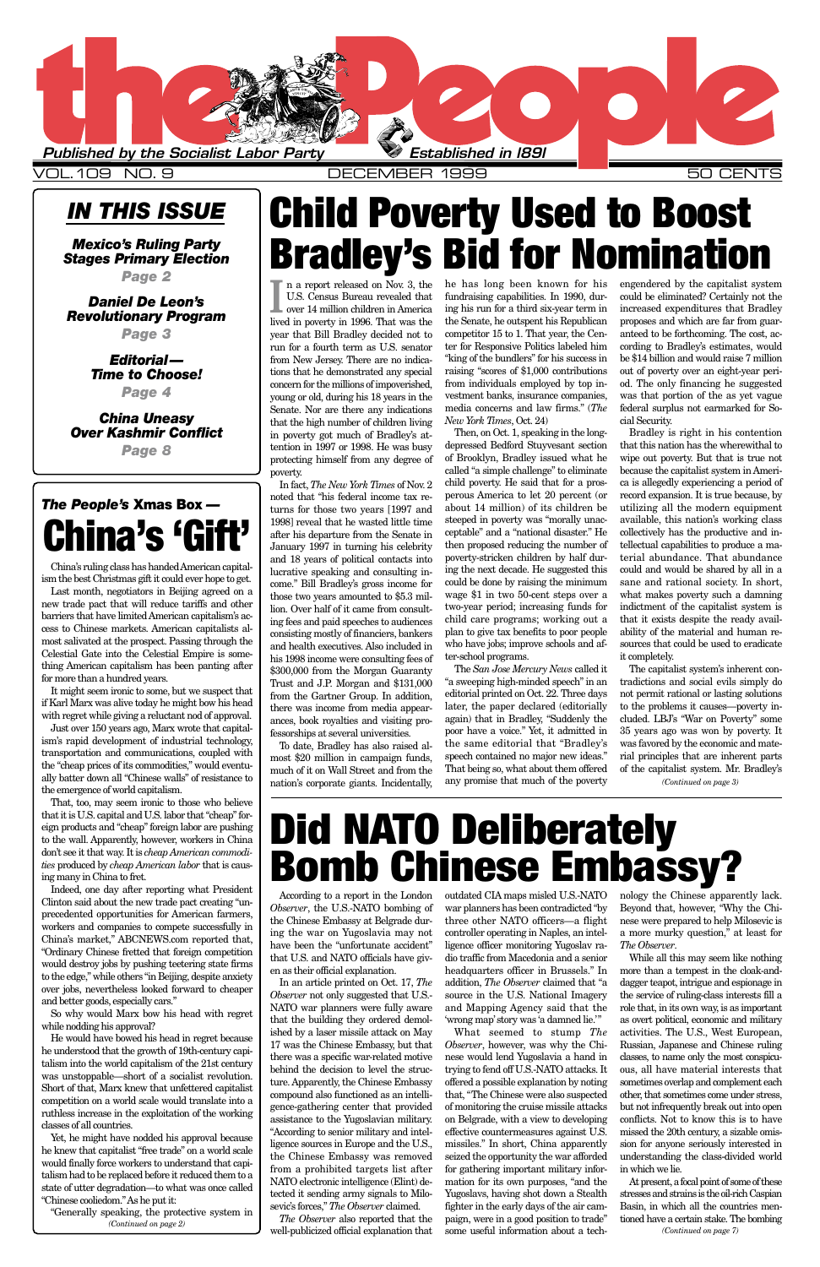### *IN THIS ISSUE*

*Mexico's Ruling Party Stages Primary Election Page 2*

*Daniel De Leon's Revolutionary Program*

*Page 3*

*Editorial— Time to Choose!*

*Page 4*

*China Uneasy Over Kashmir Conflict Page 8*

> ing the war on Yugoslavia may not have been the "unfortunate accident" that U.S. and NATO officials have given as their official explanation. In an article printed on Oct. 17, *The Observer* not only suggested that U.S.- NATO war planners were fully aware that the building they ordered demolished by a laser missile attack on May 17 was the Chinese Embassy, but that there was a specific war-related motive behind the decision to level the structure. Apparently, the Chinese Embassy compound also functioned as an intelligence-gathering center that provided assistance to the Yugoslavian military. "According to senior military and intelligence sources in Europe and the U.S., the Chinese Embassy was removed from a prohibited targets list after NATO electronic intelligence (Elint) detected it sending army signals to Milosevic's forces," *The Observer* claimed. *The Observer* also reported that the well-publicized official explanation that

According to a report in the London outdated CIA maps misled U.S.-NATO nology the Chinese apparently lack. *Observer*, the U.S.-NATO bombing of war planners has been contradicted "by Beyond that, however, "Why the Chithe Chinese Embassy at Belgrade dur-three other NATO officers—a flight nese were prepared to help Milosevic is controller operating in Naples, an intelligence officer monitoring Yugoslav radio traffic from Macedonia and a senior headquarters officer in Brussels." In addition, *The Observer* claimed that "a source in the U.S. National Imagery and Mapping Agency said that the 'wrong map'story was 'a damned lie.'" What seemed to stump *The Observer*, however, was why the Chinese would lend Yugoslavia a hand in trying to fend off U.S.-NATO attacks. It offered a possible explanation by noting that, "The Chinese were also suspected of monitoring the cruise missile attacks on Belgrade, with a view to developing effective countermeasures against U.S. missiles." In short, China apparently seized the opportunity the war afforded for gathering important military information for its own purposes, "and the Yugoslavs, having shot down a Stealth fighter in the early days of the air campaign, were in a good position to trade" some useful information about a tech-

a more murky question," at least for *The Observer*.

While all this may seem like nothing more than a tempest in the cloak-anddagger teapot, intrigue and espionage in the service of ruling-class interests fill a role that, in its own way, is as important as overt political, economic and military activities. The U.S., West European, Russian, Japanese and Chinese ruling classes, to name only the most conspicuous, all have material interests that sometimes overlap and complement each other, that sometimes come under stress, but not infrequently break out into open conflicts. Not to know this is to have missed the 20th century, a sizable omission for anyone seriously interested in understanding the class-divided world in which we lie.



VOL.109 NO. 9 DECEMBER 1999 50 CENTS

**I** n a report released on Nov. 3, the U.S. Census Bureau revealed that over 14 million children in America lived in poverty in 1996. That was the year that Bill Bradley decided not to run for a fourth term as U.S. senator from New Jersey. There are no indications that he demonstrated any special concern for the millions of impoverished, young or old, during his 18 years in the Senate. Nor are there any indications that the high number of children living in poverty got much of Bradley's attention in 1997 or 1998. He was busy protecting himself from any degree of poverty.

In fact, *The New York Times* of Nov. 2 noted that "his federal income tax returns for those two years [1997 and 1998] reveal that he wasted little time after his departure from the Senate in January 1997 in turning his celebrity and 18 years of political contacts into lucrative speaking and consulting income." Bill Bradley's gross income for those two years amounted to \$5.3 million. Over half of it came from consulting fees and paid speeches to audiences consisting mostly of financiers, bankers and health executives. Also included in his 1998 income were consulting fees of \$300,000 from the Morgan Guaranty Trust and J.P. Morgan and \$131,000 from the Gartner Group. In addition, there was income from media appearances, book royalties and visiting professorships at several universities.

To date, Bradley has also raised almost \$20 million in campaign funds, much of it on Wall Street and from the nation's corporate giants. Incidentally,

he has long been known for his fundraising capabilities. In 1990, during his run for a third six-year term in the Senate, he outspent his Republican competitor 15 to 1. That year, the Center for Responsive Politics labeled him "king of the bundlers" for his success in raising "scores of \$1,000 contributions from individuals employed by top investment banks, insurance companies, media concerns and law firms." (*The New York Times*, Oct. 24)

Then, on Oct. 1, speaking in the longdepressed Bedford Stuyvesant section of Brooklyn, Bradley issued what he called "a simple challenge" to eliminate child poverty. He said that for a prosperous America to let 20 percent (or about 14 million) of its children be steeped in poverty was "morally unacceptable" and a "national disaster." He then proposed reducing the number of poverty-stricken children by half during the next decade. He suggested this could be done by raising the minimum wage \$1 in two 50-cent steps over a two-year period; increasing funds for child care programs; working out a plan to give tax benefits to poor people who have jobs; improve schools and after-school programs.

The *San Jose Mercury News* called it "a sweeping high-minded speech" in an editorial printed on Oct. 22. Three days later, the paper declared (editorially again) that in Bradley, "Suddenly the poor have a voice." Yet, it admitted in the same editorial that "Bradley's speech contained no major new ideas." That being so, what about them offered any promise that much of the poverty engendered by the capitalist system could be eliminated? Certainly not the increased expenditures that Bradley proposes and which are far from guaranteed to be forthcoming. The cost, according to Bradley's estimates, would be \$14 billion and would raise 7 million out of poverty over an eight-year period. The only financing he suggested was that portion of the as yet vague federal surplus not earmarked for Social Security.

At present, a focal point of some of these stresses and strains is the oil-rich Caspian Basin, in which all the countries mentioned have a certain stake. The bombing *(Continued on page 7)*

Bradley is right in his contention that this nation has the wherewithal to wipe out poverty. But that is true not because the capitalist system in America is allegedly experiencing a period of record expansion. It is true because, by utilizing all the modern equipment available, this nation's working class collectively has the productive and intellectual capabilities to produce a material abundance. That abundance could and would be shared by all in a sane and rational society. In short, what makes poverty such a damning indictment of the capitalist system is that it exists despite the ready availability of the material and human resources that could be used to eradicate it completely.

The capitalist system's inherent contradictions and social evils simply do not permit rational or lasting solutions to the problems it causes—poverty included. LBJ's "War on Poverty" some 35 years ago was won by poverty. It was favored by the economic and material principles that are inherent parts of the capitalist system. Mr. Bradley's

China's ruling class has handed American capitalism the best Christmas gift it could ever hope to get.

Last month, negotiators in Beijing agreed on a new trade pact that will reduce tariffs and other barriers that have limited American capitalism's access to Chinese markets. American capitalists almost salivated at the prospect. Passing through the Celestial Gate into the Celestial Empire is something American capitalism has been panting after for more than a hundred years.

It might seem ironic to some, but we suspect that if Karl Marx was alive today he might bow his head with regret while giving a reluctant nod of approval.

Just over 150 years ago, Marx wrote that capitalism's rapid development of industrial technology, transportation and communications, coupled with the "cheap prices of its commodities," would eventually batter down all "Chinese walls" of resistance to the emergence of world capitalism.

That, too, may seem ironic to those who believe that it is U.S. capital and U.S. labor that "cheap" foreign products and "cheap" foreign labor are pushing to the wall. Apparently, however, workers in China don't see it that way. It is *cheap American commodities* produced by *cheap American labor* that is causing many in China to fret.

Indeed, one day after reporting what President Clinton said about the new trade pact creating "unprecedented opportunities for American farmers, workers and companies to compete successfully in China's market," ABCNEWS.com reported that, "Ordinary Chinese fretted that foreign competition would destroy jobs by pushing teetering state firms to the edge," while others "in Beijing, despite anxiety over jobs, nevertheless looked forward to cheaper and better goods, especially cars."

So why would Marx bow his head with regret while nodding his approval?

He would have bowed his head in regret because he understood that the growth of 19th-century capitalism into the world capitalism of the 21st century was unstoppable—short of a socialist revolution. Short of that, Marx knew that unfettered capitalist competition on a world scale would translate into a ruthless increase in the exploitation of the working classes of all countries.

Yet, he might have nodded his approval because he knew that capitalist "free trade" on a world scale would finally force workers to understand that capitalism had to be replaced before it reduced them to a state of utter degradation—to what was once called "Chinese cooliedom." As he put it:

## **Child Poverty Used to Boost Bradley's Bid for Nomination**

"Generally speaking, the protective system in *(Continued on page 2)*

## **Did NATO Deliberately Bomb Chinese Embassy?**

*(Continued on page 3)*

### *The People's* **Xmas Box** *—* **China's 'Gift'**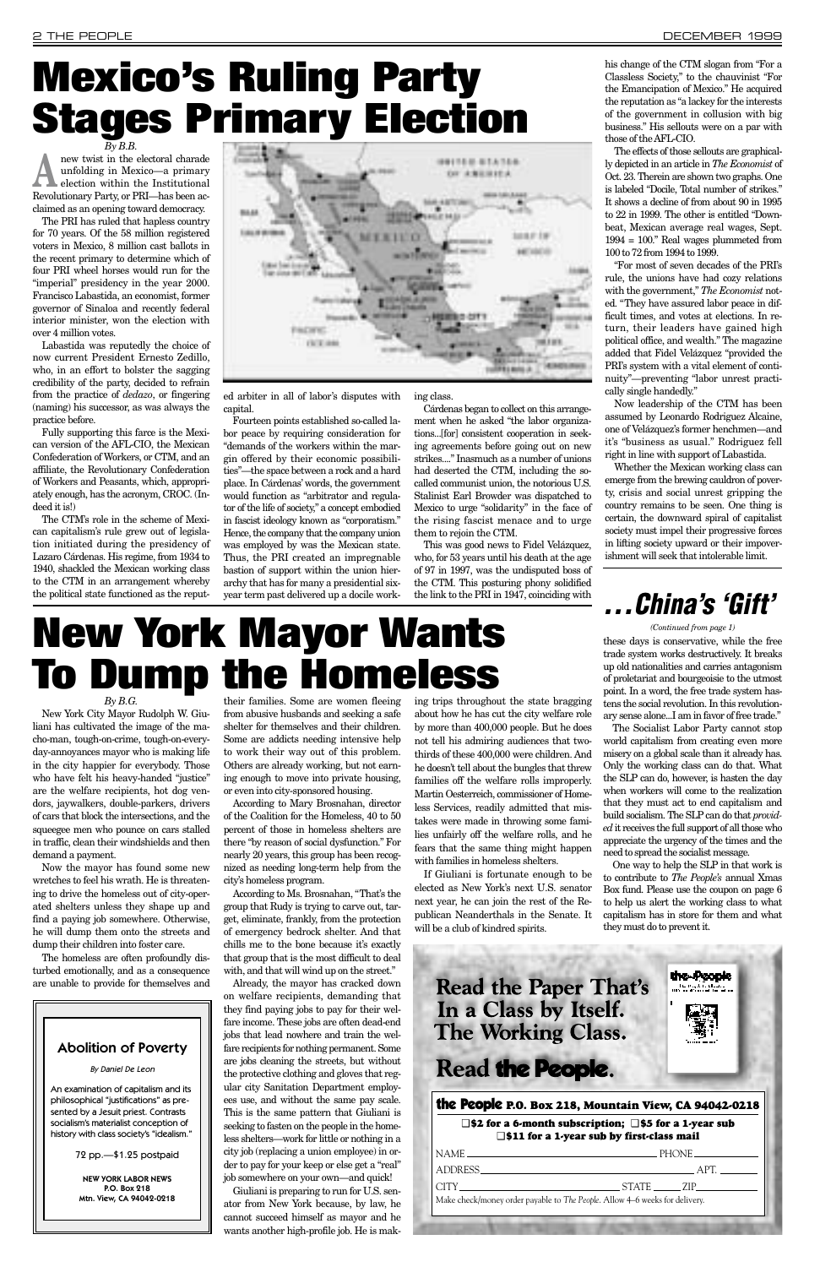new twist in the electoral charade unfolding in Mexico—a primary election within the Institutional unfolding in Mexico—a primary election within the Institutional Revolutionary Party, or PRI—has been acclaimed as an opening toward democracy.

The PRI has ruled that hapless country for 70 years. Of the 58 million registered voters in Mexico, 8 million cast ballots in the recent primary to determine which of four PRI wheel horses would run for the "imperial" presidency in the year 2000. Francisco Labastida, an economist, former governor of Sinaloa and recently federal interior minister, won the election with over 4 million votes.

Labastida was reputedly the choice of now current President Ernesto Zedillo, who, in an effort to bolster the sagging credibility of the party, decided to refrain from the practice of *dedazo*, or fingering (naming) his successor, as was always the practice before.

Fully supporting this farce is the Mexican version of the AFL-CIO, the Mexican Confederation of Workers, or CTM, and an affiliate, the Revolutionary Confederation of Workers and Peasants, which, appropriately enough, has the acronym, CROC. (Indeed it is!)

The CTM's role in the scheme of Mexican capitalism's rule grew out of legislation initiated during the presidency of Lazaro Cárdenas. His regime, from 1934 to 1940, shackled the Mexican working class to the CTM in an arrangement whereby the political state functioned as the reput-



ed arbiter in all of labor's disputes with capital.

"For most of seven decades of the PRI's rule, the unions have had cozy relations with the government," *The Economist* noted. "They have assured labor peace in difficult times, and votes at elections. In return, their leaders have gained high political office, and wealth." The magazine added that Fidel Velázquez "provided the PRI's system with a vital element of continuity"—preventing "labor unrest practically single handedly."

Fourteen points established so-called labor peace by requiring consideration for "demands of the workers within the margin offered by their economic possibilities"—the space between a rock and a hard place. In Cárdenas' words, the government would function as "arbitrator and regulator of the life of society," a concept embodied in fascist ideology known as "corporatism." Hence, the company that the company union was employed by was the Mexican state. Thus, the PRI created an impregnable bastion of support within the union hierarchy that has for many a presidential sixyear term past delivered up a docile working class.

Cárdenas began to collect on this arrangement when he asked "the labor organizations...[for] consistent cooperation in seeking agreements before going out on new strikes...." Inasmuch as a number of unions had deserted the CTM, including the socalled communist union, the notorious U.S. Stalinist Earl Browder was dispatched to Mexico to urge "solidarity" in the face of the rising fascist menace and to urge them to rejoin the CTM.

This was good news to Fidel Velázquez, who, for 53 years until his death at the age of 97 in 1997, was the undisputed boss of the CTM. This posturing phony solidified the link to the PRI in 1947, coinciding with

his change of the CTM slogan from "For a Classless Society," to the chauvinist "For the Emancipation of Mexico." He acquired the reputation as "a lackey for the interests of the government in collusion with big

business." His sellouts were on a par with

those of the AFL-CIO. The effects of those sellouts are graphically depicted in an article in *The Economist* of Oct. 23. Therein are shown two graphs. One is labeled "Docile, Total number of strikes." It shows a decline of from about 90 in 1995 to 22 in 1999. The other is entitled "Downbeat, Mexican average real wages, Sept. 1994 = 100." Real wages plummeted from 100 to 72 from 1994 to 1999.

If Giuliani is fortunate enough to be elected as New York's next U.S. senator next year, he can join the rest of the Republican Neanderthals in the Senate. It will be a club of kindred spirits.

### *By B.B.* **Mexico's Ruling Party Stages Primary Election**

Now leadership of the CTM has been assumed by Leonardo Rodriguez Alcaine, one of Velázquez's former henchmen—and it's "business as usual." Rodriguez fell right in line with support of Labastida.

Whether the Mexican working class can emerge from the brewing cauldron of poverty, crisis and social unrest gripping the country remains to be seen. One thing is certain, the downward spiral of capitalist society must impel their progressive forces in lifting society upward or their impoverishment will seek that intolerable limit.

### *By B.G.*

New York City Mayor Rudolph W. Giuliani has cultivated the image of the macho-man, tough-on-crime, tough-on-everyday-annoyances mayor who is making life in the city happier for everybody. Those who have felt his heavy-handed "justice" are the welfare recipients, hot dog vendors, jaywalkers, double-parkers, drivers of cars that block the intersections, and the squeegee men who pounce on cars stalled in traffic, clean their windshields and then demand a payment.

Now the mayor has found some new wretches to feel his wrath. He is threatening to drive the homeless out of city-operated shelters unless they shape up and find a paying job somewhere. Otherwise, he will dump them onto the streets and dump their children into foster care.

The homeless are often profoundly disturbed emotionally, and as a consequence are unable to provide for themselves and

their families. Some are women fleeing from abusive husbands and seeking a safe shelter for themselves and their children. Some are addicts needing intensive help to work their way out of this problem. Others are already working, but not earning enough to move into private housing, or even into city-sponsored housing.

According to Mary Brosnahan, director of the Coalition for the Homeless, 40 to 50 percent of those in homeless shelters are there "by reason of social dysfunction." For nearly 20 years, this group has been recognized as needing long-term help from the city's homeless program.

According to Ms. Brosnahan, "That's the group that Rudy is trying to carve out, target, eliminate, frankly, from the protection of emergency bedrock shelter. And that chills me to the bone because it's exactly that group that is the most difficult to deal with, and that will wind up on the street." Already, the mayor has cracked down on welfare recipients, demanding that they find paying jobs to pay for their welfare income. These jobs are often dead-end jobs that lead nowhere and train the welfare recipients for nothing permanent. Some are jobs cleaning the streets, but without the protective clothing and gloves that regular city Sanitation Department employees use, and without the same pay scale. This is the same pattern that Giuliani is seeking to fasten on the people in the homeless shelters—work for little or nothing in a city job (replacing a union employee) in order to pay for your keep or else get a "real" job somewhere on your own—and quick! Giuliani is preparing to run for U.S. senator from New York because, by law, he cannot succeed himself as mayor and he

wants another high-profile job. He is mak-

ing trips throughout the state bragging about how he has cut the city welfare role by more than 400,000 people. But he does not tell his admiring audiences that twothirds of these 400,000 were children. And he doesn't tell about the bungles that threw families off the welfare rolls improperly. Martin Oesterreich, commissioner of Homeless Services, readily admitted that mistakes were made in throwing some families unfairly off the welfare rolls, and he fears that the same thing might happen with families in homeless shelters.

## **New York Mayor Wants To Dump the Homeless**

### **. . . China's 'Gift'**

these days is conservative, while the free trade system works destructively. It breaks up old nationalities and carries antagonism of proletariat and bourgeoisie to the utmost point. In a word, the free trade system hastens the social revolution. In this revolutionary sense alone...I am in favor of free trade."

The Socialist Labor Party cannot stop world capitalism from creating even more misery on a global scale than it already has. Only the working class can do that. What the SLP can do, however, is hasten the day when workers will come to the realization that they must act to end capitalism and build socialism. The SLP can do that *provided*it receives the full support of all those who appreciate the urgency of the times and the need to spread the socialist message.

One way to help the SLP in that work is to contribute to *The People's* annual Xmas Box fund. Please use the coupon on page 6 to help us alert the working class to what capitalism has in store for them and what they must do to prevent it.

the People

### the People **P.O. Box 218, Mountain View, CA 94042-0218**

### ❑ **\$2 for a 6-month subscription;** ❑ **\$5 for a 1-year sub** ❑ **\$11 for a 1-year sub by first-class mail**

|                                                                             | __ PHONE ______________ |
|-----------------------------------------------------------------------------|-------------------------|
|                                                                             | APT.                    |
|                                                                             |                         |
| Make check/money order payable to The People. Allow 4–6 weeks for delivery. |                         |
|                                                                             |                         |

### Abolition of Poverty

By Daniel De Leon

An examination of capitalism and its philosophical "justifications" as presented by a Jesuit priest. Contrasts socialism's materialist conception of history with class society's "idealism."

72 pp.—\$1.25 postpaid

NEW YORK LABOR NEWS P.O. Box 218 Mtn. View, CA 94042-0218

### **Read the Paper That's** In a Class by Itself. **The Working Class.**

### Read the People.

*(Continued from page 1)*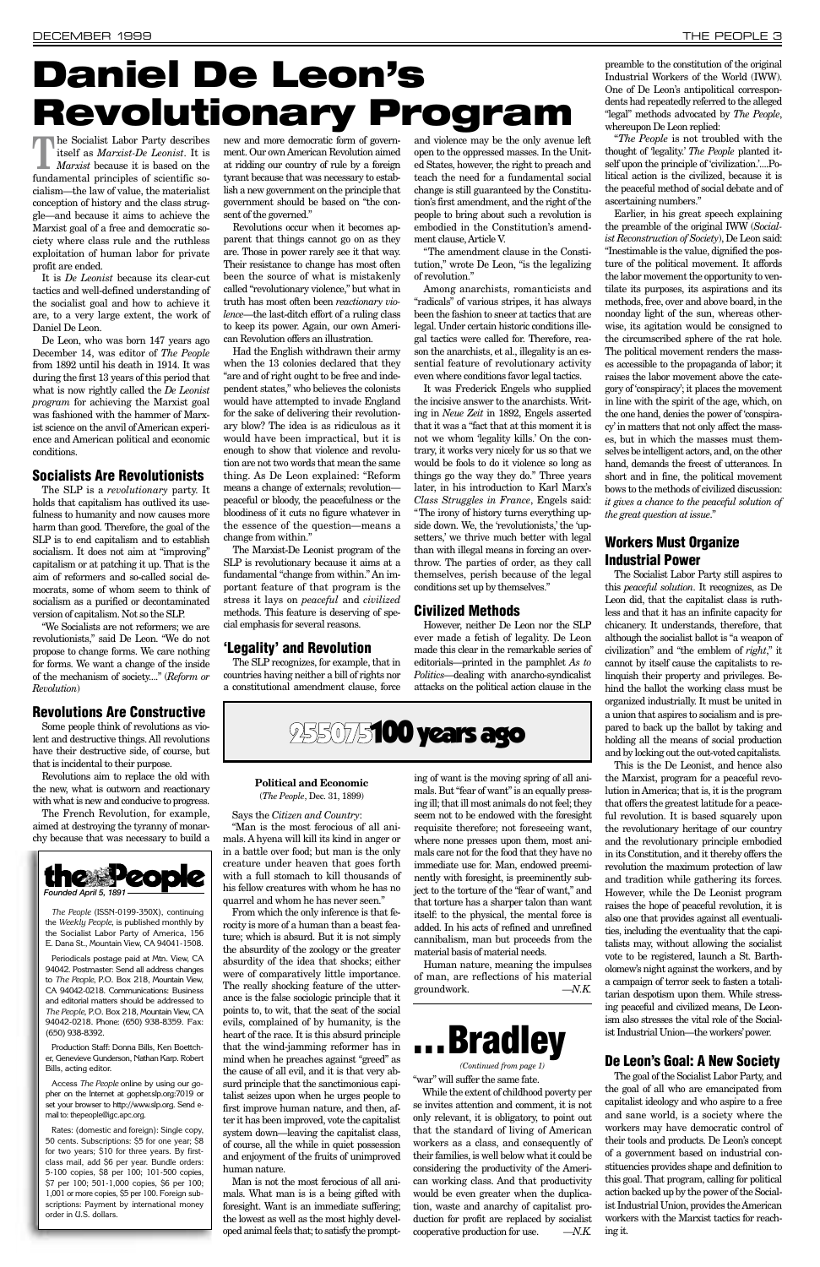**The Socialist Labor Party describes**<br>itself as *Marxist-De Leonist*. It is<br>*Marxist* because it is based on the itself as *Marxist-De Leonist*. It is *Marxist* because it is based on the fundamental principles of scientific socialism—the law of value, the materialist conception of history and the class struggle—and because it aims to achieve the Marxist goal of a free and democratic society where class rule and the ruthless exploitation of human labor for private profit are ended.

It is *De Leonist* because its clear-cut tactics and well-defined understanding of the socialist goal and how to achieve it are, to a very large extent, the work of Daniel De Leon.

De Leon, who was born 147 years ago December 14, was editor of *The People* from 1892 until his death in 1914. It was during the first 13 years of this period that what is now rightly called the *De Leonist program* for achieving the Marxist goal was fashioned with the hammer of Marxist science on the anvil of American experience and American political and economic conditions.

### **Socialists Are Revolutionists**

The SLP is a *revolutionary* party. It holds that capitalism has outlived its usefulness to humanity and now causes more harm than good. Therefore, the goal of the SLP is to end capitalism and to establish socialism. It does not aim at "improving" capitalism or at patching it up. That is the aim of reformers and so-called social democrats, some of whom seem to think of socialism as a purified or decontaminated version of capitalism. Not so the SLP.

"We Socialists are not reformers; we are revolutionists," said De Leon. "We do not propose to change forms. We care nothing for forms. We want a change of the inside of the mechanism of society...." (*Reform or Revolution*)

### **Revolutions Are Constructive**

Some people think of revolutions as violent and destructive things. All revolutions have their destructive side, of course, but that is incidental to their purpose.

Revolutions aim to replace the old with the new, what is outworn and reactionary with what is new and conducive to progress.

The French Revolution, for example, aimed at destroying the tyranny of monarchy because that was necessary to build a new and more democratic form of government. Our own American Revolution aimed at ridding our country of rule by a foreign tyrant because that was necessary to establish a new government on the principle that government should be based on "the consent of the governed."

Revolutions occur when it becomes apparent that things cannot go on as they are. Those in power rarely see it that way. Their resistance to change has most often been the source of what is mistakenly called "revolutionary violence," but what in truth has most often been *reactionary violence*—the last-ditch effort of a ruling class to keep its power. Again, our own American Revolution offers an illustration.

Had the English withdrawn their army when the 13 colonies declared that they "are and of right ought to be free and independent states," who believes the colonists would have attempted to invade England for the sake of delivering their revolutionary blow? The idea is as ridiculous as it would have been impractical, but it is enough to show that violence and revolution are not two words that mean the same thing. As De Leon explained: "Reform means a change of externals; revolution peaceful or bloody, the peacefulness or the bloodiness of it cuts no figure whatever in the essence of the question—means a change from within."

The Marxist-De Leonist program of the SLP is revolutionary because it aims at a fundamental "change from within." An important feature of that program is the stress it lays on *peaceful* and *civilized* methods. This feature is deserving of special emphasis for several reasons.

### **'Legality' and Revolution**

The SLP recognizes, for example, that in countries having neither a bill of rights nor a constitutional amendment clause, force

and violence may be the only avenue left open to the oppressed masses. In the United States, however, the right to preach and teach the need for a fundamental social change is still guaranteed by the Constitution's first amendment, and the right of the people to bring about such a revolution is embodied in the Constitution's amendment clause, Article V.

"The amendment clause in the Constitution," wrote De Leon, "is the legalizing of revolution."

Among anarchists, romanticists and "radicals" of various stripes, it has always been the fashion to sneer at tactics that are legal. Under certain historic conditions illegal tactics were called for. Therefore, reason the anarchists, et al., illegality is an essential feature of revolutionary activity even where conditions favor legal tactics.

It was Frederick Engels who supplied the incisive answer to the anarchists. Writing in *Neue Zeit* in 1892, Engels asserted that it was a "fact that at this moment it is not we whom 'legality kills.' On the contrary, it works very nicely for us so that we would be fools to do it violence so long as things go the way they do." Three years later, in his introduction to Karl Marx's *Class Struggles in France*, Engels said: "The irony of history turns everything upside down. We, the 'revolutionists,' the 'upsetters,' we thrive much better with legal than with illegal means in forcing an overthrow. The parties of order, as they call themselves, perish because of the legal conditions set up by themselves."

### **Civilized Methods**

However, neither De Leon nor the SLP ever made a fetish of legality. De Leon made this clear in the remarkable series of editorials—printed in the pamphlet *As to Politics*—dealing with anarcho-syndicalist attacks on the political action clause in the preamble to the constitution of the original Industrial Workers of the World (IWW). One of De Leon's antipolitical correspondents had repeatedly referred to the alleged "legal" methods advocated by *The People*, whereupon De Leon replied:

"*The People* is not troubled with the thought of 'legality.' *The People* planted itself upon the principle of 'civilization.'....Political action is the civilized, because it is the peaceful method of social debate and of ascertaining numbers."

Earlier, in his great speech explaining the preamble of the original IWW (*Socialist Reconstruction of Society*), De Leon said: "Inestimable is the value, dignified the posture of the political movement. It affords the labor movement the opportunity to ventilate its purposes, its aspirations and its methods, free, over and above board, in the noonday light of the sun, whereas otherwise, its agitation would be consigned to the circumscribed sphere of the rat hole. The political movement renders the masses accessible to the propaganda of labor; it raises the labor movement above the category of 'conspiracy'; it places the movement in line with the spirit of the age, which, on the one hand, denies the power of 'conspiracy' in matters that not only affect the masses, but in which the masses must themselves be intelligent actors, and, on the other hand, demands the freest of utterances. In short and in fine, the political movement bows to the methods of civilized discussion: *it gives a chance to the peaceful solution of the great question at issue*."

### **Workers Must Organize Industrial Power**

The Socialist Labor Party still aspires to this *peaceful solution*. It recognizes, as De Leon did, that the capitalist class is ruthless and that it has an infinite capacity for chicanery. It understands, therefore, that although the socialist ballot is "a weapon of civilization" and "the emblem of *right*," it cannot by itself cause the capitalists to relinquish their property and privileges. Behind the ballot the working class must be organized industrially. It must be united in a union that aspires to socialism and is prepared to back up the ballot by taking and holding all the means of social production and by locking out the out-voted capitalists.

This is the De Leonist, and hence also the Marxist, program for a peaceful revolution in America; that is, it is the program that offers the greatest latitude for a peaceful revolution. It is based squarely upon the revolutionary heritage of our country and the revolutionary principle embodied in its Constitution, and it thereby offers the revolution the maximum protection of law and tradition while gathering its forces. However, while the De Leonist program raises the hope of peaceful revolution, it is also one that provides against all eventualities, including the eventuality that the capitalists may, without allowing the socialist vote to be registered, launch a St. Bartholomew's night against the workers, and by a campaign of terror seek to fasten a totalitarian despotism upon them. While stressing peaceful and civilized means, De Leonism also stresses the vital role of the Socialist Industrial Union—the workers'power.

### **De Leon's Goal: A New Society**

The goal of the Socialist Labor Party, and the goal of all who are emancipated from capitalist ideology and who aspire to a free and sane world, is a society where the workers may have democratic control of their tools and products. De Leon's concept of a government based on industrial constituencies provides shape and definition to this goal. That program, calling for political action backed up by the power of the Socialist Industrial Union, provides the American workers with the Marxist tactics for reaching it.



*The People* (ISSN-0199-350X), continuing the *Weekly People*, is published monthly by the Socialist Labor Party of America, 156 E. Dana St., Mountain View, CA 94041-1508.

Periodicals postage paid at Mtn. View, CA 94042. Postmaster: Send all address changes to *The People*, P.O. Box 218, Mountain View, CA 94042-0218. Communications: Business and editorial matters should be addressed to *The People*, P.O. Box 218, Mountain View, CA 94042-0218. Phone: (650) 938-8359. Fax: (650) 938-8392.

Production Staff: Donna Bills, Ken Boettcher, Genevieve Gunderson, Nathan Karp. Robert Bills, acting editor.

Access *The People* online by using our gopher on the Internet at gopher.slp.org:7019 or set your browser to http://www.slp.org. Send email to: thepeople@igc.apc.org.

Rates: (domestic and foreign): Single copy, 50 cents. Subscriptions: \$5 for one year; \$8 for two years; \$10 for three years. By firstclass mail, add \$6 per year. Bundle orders: 5-100 copies, \$8 per 100; 101-500 copies, \$7 per 100; 501-1,000 copies, \$6 per 100; 1,001 or more copies, \$5 per 100. Foreign subscriptions: Payment by international money order in U.S. dollars.

### **Political and Economic** (*The People*, Dec. 31, 1899)

Says the *Citizen and Country*:

"Man is the most ferocious of all animals. A hyena will kill its kind in anger or in a battle over food; but man is the only creature under heaven that goes forth with a full stomach to kill thousands of his fellow creatures with whom he has no quarrel and whom he has never seen."

From which the only inference is that ferocity is more of a human than a beast feature; which is absurd. But it is not simply the absurdity of the zoology or the greater absurdity of the idea that shocks; either were of comparatively little importance. The really shocking feature of the utterance is the false sociologic principle that it points to, to wit, that the seat of the social evils, complained of by humanity, is the heart of the race. It is this absurd principle that the wind-jamming reformer has in mind when he preaches against "greed" as the cause of all evil, and it is that very absurd principle that the sanctimonious capitalist seizes upon when he urges people to first improve human nature, and then, after it has been improved, vote the capitalist system down—leaving the capitalist class, of course, all the while in quiet possession and enjoyment of the fruits of unimproved human nature. Man is not the most ferocious of all animals. What man is is a being gifted with foresight. Want is an immediate suffering; the lowest as well as the most highly developed animal feels that; to satisfy the prompting of want is the moving spring of all animals. But "fear of want" is an equally pressing ill; that ill most animals do not feel; they seem not to be endowed with the foresight requisite therefore; not foreseeing want, where none presses upon them, most animals care not for the food that they have no immediate use for. Man, endowed preeminently with foresight, is preeminently subject to the torture of the "fear of want," and that torture has a sharper talon than want itself: to the physical, the mental force is added. In his acts of refined and unrefined

cannibalism, man but proceeds from the material basis of material needs.

Human nature, meaning the impulses of man, are reflections of his material groundwork. *—N.K.*

## **Daniel De Leon's Revolutionary Program**

"war" will suffer the same fate.

While the extent of childhood poverty per se invites attention and comment, it is not only relevant, it is obligatory, to point out that the standard of living of American workers as a class, and consequently of their families, is well below what it could be considering the productivity of the American working class. And that productivity would be even greater when the duplication, waste and anarchy of capitalist production for profit are replaced by socialist cooperative production for use. *—N.K.*

## **. . . Bradley**

*(Continued from page 1)*

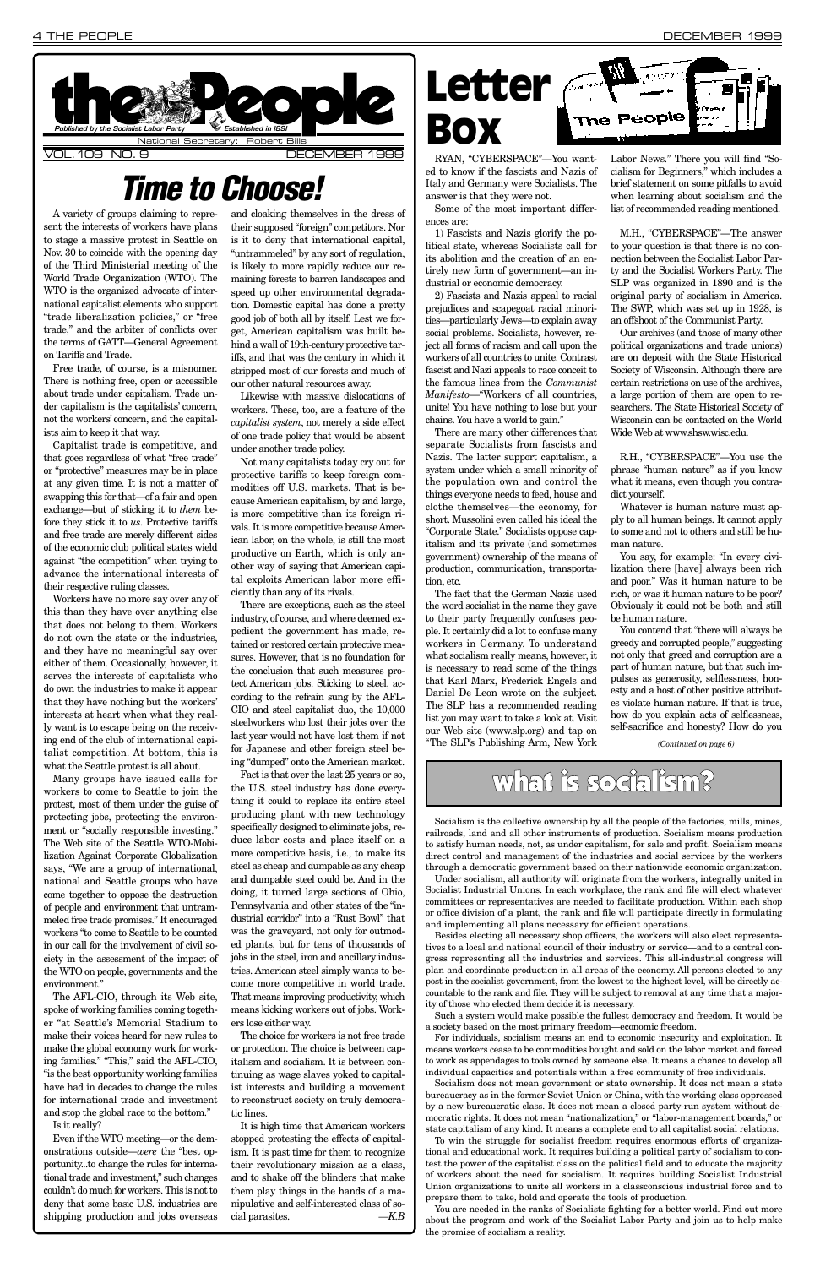A variety of groups claiming to represent the interests of workers have plans to stage a massive protest in Seattle on Nov. 30 to coincide with the opening day of the Third Ministerial meeting of the World Trade Organization (WTO). The WTO is the organized advocate of international capitalist elements who support "trade liberalization policies," or "free trade," and the arbiter of conflicts over the terms of GATT—General Agreement on Tariffs and Trade.

Free trade, of course, is a misnomer. There is nothing free, open or accessible about trade under capitalism. Trade under capitalism is the capitalists' concern, not the workers' concern, and the capitalists aim to keep it that way.

Capitalist trade is competitive, and that goes regardless of what "free trade" or "protective" measures may be in place at any given time. It is not a matter of swapping this for that—of a fair and open exchange—but of sticking it to *them* before they stick it to *us*. Protective tariffs and free trade are merely different sides of the economic club political states wield against "the competition" when trying to advance the international interests of their respective ruling classes.

Workers have no more say over any of this than they have over anything else that does not belong to them. Workers do not own the state or the industries, and they have no meaningful say over either of them. Occasionally, however, it serves the interests of capitalists who do own the industries to make it appear that they have nothing but the workers' interests at heart when what they really want is to escape being on the receiving end of the club of international capitalist competition. At bottom, this is what the Seattle protest is all about.

Many groups have issued calls for workers to come to Seattle to join the protest, most of them under the guise of protecting jobs, protecting the environment or "socially responsible investing." The Web site of the Seattle WTO-Mobilization Against Corporate Globalization says, "We are a group of international, national and Seattle groups who have come together to oppose the destruction of people and environment that untrammeled free trade promises." It encouraged workers "to come to Seattle to be counted in our call for the involvement of civil society in the assessment of the impact of the WTO on people, governments and the environment." The AFL-CIO, through its Web site, spoke of working families coming together "at Seattle's Memorial Stadium to make their voices heard for new rules to make the global economy work for working families." "This," said the AFL-CIO, "is the best opportunity working families have had in decades to change the rules for international trade and investment and stop the global race to the bottom." Is it really?

Even if the WTO meeting—or the demonstrations outside—*were* the "best opportunity...to change the rules for international trade and investment," such changes couldn't do much for workers. This is not to deny that some basic U.S. industries are shipping production and jobs overseas

and cloaking themselves in the dress of their supposed "foreign" competitors. Nor is it to deny that international capital, "untrammeled" by any sort of regulation, is likely to more rapidly reduce our remaining forests to barren landscapes and speed up other environmental degradation. Domestic capital has done a pretty good job of both all by itself. Lest we forget, American capitalism was built behind a wall of 19th-century protective tariffs, and that was the century in which it stripped most of our forests and much of our other natural resources away.

Likewise with massive dislocations of workers. These, too, are a feature of the *capitalist system*, not merely a side effect of one trade policy that would be absent under another trade policy.

Not many capitalists today cry out for protective tariffs to keep foreign commodities off U.S. markets. That is because American capitalism, by and large, is more competitive than its foreign rivals. It is more competitive because American labor, on the whole, is still the most productive on Earth, which is only another way of saying that American capital exploits American labor more efficiently than any of its rivals.

There are exceptions, such as the steel industry, of course, and where deemed expedient the government has made, retained or restored certain protective measures. However, that is no foundation for the conclusion that such measures protect American jobs. Sticking to steel, according to the refrain sung by the AFL-CIO and steel capitalist duo, the 10,000 steelworkers who lost their jobs over the last year would not have lost them if not for Japanese and other foreign steel being "dumped" onto the American market.



Fact is that over the last 25 years or so, the U.S. steel industry has done everything it could to replace its entire steel producing plant with new technology specifically designed to eliminate jobs, reduce labor costs and place itself on a more competitive basis, i.e., to make its steel as cheap and dumpable as any cheap and dumpable steel could be. And in the doing, it turned large sections of Ohio, Pennsylvania and other states of the "industrial corridor" into a "Rust Bowl" that was the graveyard, not only for outmoded plants, but for tens of thousands of jobs in the steel, iron and ancillary industries. American steel simply wants to become more competitive in world trade. That means improving productivity, which means kicking workers out of jobs. Workers lose either way. The choice for workers is not free trade or protection. The choice is between capitalism and socialism. It is between continuing as wage slaves yoked to capitalist interests and building a movement to reconstruct society on truly democratic lines. It is high time that American workers stopped protesting the effects of capitalism. It is past time for them to recognize their revolutionary mission as a class, and to shake off the blinders that make them play things in the hands of a manipulative and self-interested class of social parasites. *—K.B*

RYAN, "CYBERSPACE"—You wanted to know if the fascists and Nazis of Italy and Germany were Socialists. The answer is that they were not.

Some of the most important differences are:

1) Fascists and Nazis glorify the political state, whereas Socialists call for its abolition and the creation of an entirely new form of government—an industrial or economic democracy.

2) Fascists and Nazis appeal to racial prejudices and scapegoat racial minorities—particularly Jews—to explain away social problems. Socialists, however, reject all forms of racism and call upon the workers of all countries to unite. Contrast fascist and Nazi appeals to race conceit to the famous lines from the *Communist Manifesto*—"Workers of all countries, unite! You have nothing to lose but your chains. You have a world to gain."

There are many other differences that separate Socialists from fascists and Nazis. The latter support capitalism, a system under which a small minority of the population own and control the things everyone needs to feed, house and clothe themselves—the economy, for short. Mussolini even called his ideal the "Corporate State." Socialists oppose capitalism and its private (and sometimes government) ownership of the means of production, communication, transportation, etc.

The fact that the German Nazis used the word socialist in the name they gave to their party frequently confuses people. It certainly did a lot to confuse many workers in Germany. To understand what socialism really means, however, it is necessary to read some of the things that Karl Marx, Frederick Engels and Daniel De Leon wrote on the subject. The SLP has a recommended reading list you may want to take a look at. Visit our Web site (www.slp.org) and tap on "The SLP's Publishing Arm, New York

Labor News." There you will find "Socialism for Beginners," which includes a brief statement on some pitfalls to avoid when learning about socialism and the list of recommended reading mentioned.

M.H., "CYBERSPACE"—The answer to your question is that there is no connection between the Socialist Labor Party and the Socialist Workers Party. The SLP was organized in 1890 and is the original party of socialism in America. The SWP, which was set up in 1928, is an offshoot of the Communist Party.

Our archives (and those of many other political organizations and trade unions) are on deposit with the State Historical Society of Wisconsin. Although there are certain restrictions on use of the archives, a large portion of them are open to researchers. The State Historical Society of Wisconsin can be contacted on the World Wide Web at www.shsw.wisc.edu.

R.H., "CYBERSPACE"—You use the phrase "human nature" as if you know what it means, even though you contradict yourself.

Whatever is human nature must apply to all human beings. It cannot apply to some and not to others and still be human nature.

You say, for example: "In every civilization there [have] always been rich and poor." Was it human nature to be rich, or was it human nature to be poor? Obviously it could not be both and still be human nature.

You contend that "there will always be greedy and corrupted people," suggesting not only that greed and corruption are a part of human nature, but that such impulses as generosity, selflessness, honesty and a host of other positive attributes violate human nature. If that is true, how do you explain acts of selflessness, self-sacrifice and honesty? How do you

### **Time to Choose!**

### what is socialism?

Socialism is the collective ownership by all the people of the factories, mills, mines, railroads, land and all other instruments of production. Socialism means production to satisfy human needs, not, as under capitalism, for sale and profit. Socialism means direct control and management of the industries and social services by the workers through a democratic government based on their nationwide economic organization.

Under socialism, all authority will originate from the workers, integrally united in Socialist Industrial Unions. In each workplace, the rank and file will elect whatever committees or representatives are needed to facilitate production. Within each shop or office division of a plant, the rank and file will participate directly in formulating and implementing all plans necessary for efficient operations. Besides electing all necessary shop officers, the workers will also elect representatives to a local and national council of their industry or service—and to a central congress representing all the industries and services. This all-industrial congress will plan and coordinate production in all areas of the economy. All persons elected to any post in the socialist government, from the lowest to the highest level, will be directly accountable to the rank and file. They will be subject to removal at any time that a majority of those who elected them decide it is necessary. Such a system would make possible the fullest democracy and freedom. It would be a society based on the most primary freedom—economic freedom.

For individuals, socialism means an end to economic insecurity and exploitation. It means workers cease to be commodities bought and sold on the labor market and forced to work as appendages to tools owned by someone else. It means a chance to develop all individual capacities and potentials within a free community of free individuals.

Socialism does not mean government or state ownership. It does not mean a state bureaucracy as in the former Soviet Union or China, with the working class oppressed by a new bureaucratic class. It does not mean a closed party-run system without democratic rights. It does not mean "nationalization," or "labor-management boards," or state capitalism of any kind. It means a complete end to all capitalist social relations.

To win the struggle for socialist freedom requires enormous efforts of organizational and educational work. It requires building a political party of socialism to contest the power of the capitalist class on the political field and to educate the majority of workers about the need for socialism. It requires building Socialist Industrial Union organizations to unite all workers in a classconscious industrial force and to prepare them to take, hold and operate the tools of production.

You are needed in the ranks of Socialists fighting for a better world. Find out more about the program and work of the Socialist Labor Party and join us to help make the promise of socialism a reality.



*(Continued on page 6)*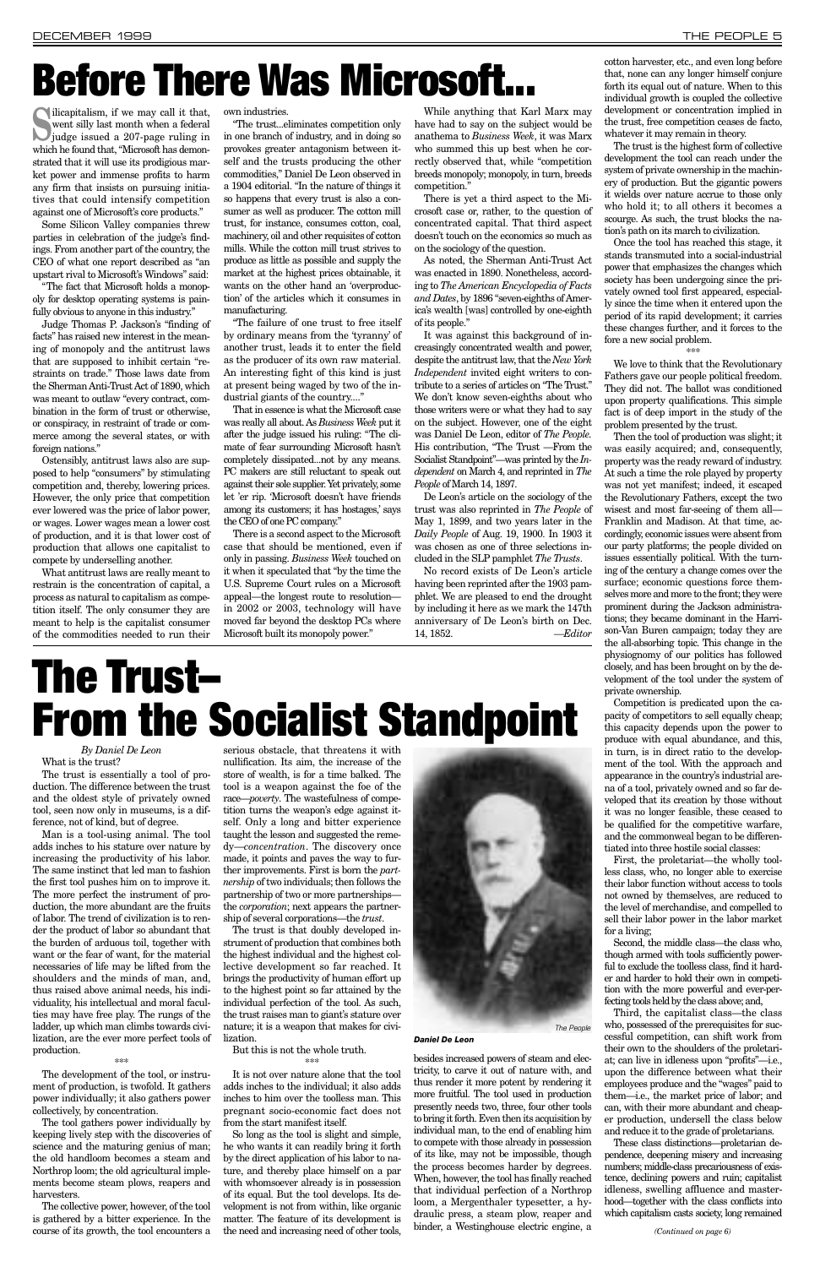#### *By Daniel De Leon* What is the trust?

The trust is essentially a tool of production. The difference between the trust and the oldest style of privately owned tool, seen now only in museums, is a difference, not of kind, but of degree.

Man is a tool-using animal. The tool adds inches to his stature over nature by increasing the productivity of his labor. The same instinct that led man to fashion the first tool pushes him on to improve it. The more perfect the instrument of production, the more abundant are the fruits of labor. The trend of civilization is to render the product of labor so abundant that the burden of arduous toil, together with want or the fear of want, for the material necessaries of life may be lifted from the shoulders and the minds of man, and, thus raised above animal needs, his individuality, his intellectual and moral faculties may have free play. The rungs of the ladder, up which man climbs towards civilization, are the ever more perfect tools of production. \*\*\*

The development of the tool, or instrument of production, is twofold. It gathers power individually; it also gathers power collectively, by concentration.

The tool gathers power individually by keeping lively step with the discoveries of science and the maturing genius of man; the old handloom becomes a steam and Northrop loom; the old agricultural implements become steam plows, reapers and harvesters.

The collective power, however, of the tool is gathered by a bitter experience. In the course of its growth, the tool encounters a

serious obstacle, that threatens it with nullification. Its aim, the increase of the store of wealth, is for a time balked. The tool is a weapon against the foe of the race—*poverty*. The wastefulness of competition turns the weapon's edge against itself. Only a long and bitter experience taught the lesson and suggested the remedy—*concentration*. The discovery once made, it points and paves the way to further improvements. First is born the *partnership* of two individuals; then follows the partnership of two or more partnerships the *corporation*; next appears the partner-

ship of several corporations—the *trust*. The trust is that doubly developed instrument of production that combines both the highest individual and the highest collective development so far reached. It brings the productivity of human effort up to the highest point so far attained by the individual perfection of the tool. As such, the trust raises man to giant's stature over nature; it is a weapon that makes for civilization.

But this is not the whole truth. \*\*\*

It is not over nature alone that the tool adds inches to the individual; it also adds inches to him over the toolless man. This pregnant socio-economic fact does not from the start manifest itself.

So long as the tool is slight and simple, he who wants it can readily bring it forth by the direct application of his labor to nature, and thereby place himself on a par with whomsoever already is in possession of its equal. But the tool develops. Its development is not from within, like organic matter. The feature of its development is the need and increasing need of other tools,

besides increased powers of steam and electricity, to carve it out of nature with, and thus render it more potent by rendering it more fruitful. The tool used in production presently needs two, three, four other tools to bring it forth. Even then its acquisition by individual man, to the end of enabling him to compete with those already in possession of its like, may not be impossible, though the process becomes harder by degrees. When, however, the tool has finally reached that individual perfection of a Northrop loom, a Mergenthaler typesetter, a hydraulic press, a steam plow, reaper and binder, a Westinghouse electric engine, a

cotton harvester, etc., and even long before that, none can any longer himself conjure forth its equal out of nature. When to this individual growth is coupled the collective development or concentration implied in the trust, free competition ceases de facto, whatever it may remain in theory.

Silicapitalism, if we may call it that,<br>
went silly last month when a federal<br>
judge issued a 207-page ruling in went silly last month when a federal which he found that, "Microsoft has demonstrated that it will use its prodigious market power and immense profits to harm any firm that insists on pursuing initiatives that could intensify competition against one of Microsoft's core products."

The trust is the highest form of collective development the tool can reach under the system of private ownership in the machinery of production. But the gigantic powers it wields over nature accrue to those only who hold it; to all others it becomes a scourge. As such, the trust blocks the nation's path on its march to civilization.

Once the tool has reached this stage, it stands transmuted into a social-industrial power that emphasizes the changes which society has been undergoing since the privately owned tool first appeared, especially since the time when it entered upon the period of its rapid development; it carries these changes further, and it forces to the fore a new social problem.

\*\*\*

We love to think that the Revolutionary Fathers gave our people political freedom. They did not. The ballot was conditioned upon property qualifications. This simple fact is of deep import in the study of the problem presented by the trust.

"The failure of one trust to free itself by ordinary means from the 'tyranny' of another trust, leads it to enter the field as the producer of its own raw material. An interesting fight of this kind is just at present being waged by two of the industrial giants of the country...."

> Then the tool of production was slight; it was easily acquired; and, consequently, property was the ready reward of industry. At such a time the role played by property was not yet manifest; indeed, it escaped the Revolutionary Fathers, except the two wisest and most far-seeing of them all— Franklin and Madison. At that time, accordingly, economic issues were absent from our party platforms; the people divided on issues essentially political. With the turning of the century a change comes over the surface; economic questions force themselves more and more to the front; they were prominent during the Jackson administrations; they became dominant in the Harrison-Van Buren campaign; today they are the all-absorbing topic. This change in the physiognomy of our politics has followed closely, and has been brought on by the development of the tool under the system of private ownership.

> Competition is predicated upon the capacity of competitors to sell equally cheap; this capacity depends upon the power to produce with equal abundance, and this, in turn, is in direct ratio to the development of the tool. With the approach and appearance in the country's industrial arena of a tool, privately owned and so far developed that its creation by those without it was no longer feasible, these ceased to be qualified for the competitive warfare, and the commonweal began to be differentiated into three hostile social classes:

> First, the proletariat—the wholly toolless class, who, no longer able to exercise their labor function without access to tools not owned by themselves, are reduced to the level of merchandise, and compelled to sell their labor power in the labor market for a living; Second, the middle class—the class who, though armed with tools sufficiently powerful to exclude the toolless class, find it harder and harder to hold their own in competition with the more powerful and ever-perfecting tools held by the class above; and, Third, the capitalist class—the class who, possessed of the prerequisites for successful competition, can shift work from their own to the shoulders of the proletariat; can live in idleness upon "profits"—i.e., upon the difference between what their employees produce and the "wages" paid to them—i.e., the market price of labor; and can, with their more abundant and cheaper production, undersell the class below and reduce it to the grade of proletarians. These class distinctions—proletarian dependence, deepening misery and increasing numbers; middle-class precariousness of existence, declining powers and ruin; capitalist idleness, swelling affluence and masterhood—together with the class conflicts into which capitalism casts society, long remained

Some Silicon Valley companies threw parties in celebration of the judge's findings. From another part of the country, the CEO of what one report described as "an upstart rival to Microsoft's Windows" said:

"The fact that Microsoft holds a monopoly for desktop operating systems is painfully obvious to anyone in this industry."

Judge Thomas P. Jackson's "finding of facts" has raised new interest in the meaning of monopoly and the antitrust laws that are supposed to inhibit certain "restraints on trade." Those laws date from the Sherman Anti-Trust Act of 1890, which was meant to outlaw "every contract, combination in the form of trust or otherwise, or conspiracy, in restraint of trade or commerce among the several states, or with foreign nations."

Ostensibly, antitrust laws also are supposed to help "consumers" by stimulating competition and, thereby, lowering prices. However, the only price that competition ever lowered was the price of labor power, or wages. Lower wages mean a lower cost of production, and it is that lower cost of production that allows one capitalist to compete by underselling another.

What antitrust laws are really meant to restrain is the concentration of capital, a process as natural to capitalism as competition itself. The only consumer they are meant to help is the capitalist consumer of the commodities needed to run their own industries.

"The trust...eliminates competition only in one branch of industry, and in doing so provokes greater antagonism between itself and the trusts producing the other commodities," Daniel De Leon observed in a 1904 editorial. "In the nature of things it so happens that every trust is also a consumer as well as producer. The cotton mill trust, for instance, consumes cotton, coal, machinery, oil and other requisites of cotton mills. While the cotton mill trust strives to produce as little as possible and supply the market at the highest prices obtainable, it wants on the other hand an 'overproduction' of the articles which it consumes in manufacturing.

That in essence is what the Microsoft case was really all about. As *Business Week* put it after the judge issued his ruling: "The climate of fear surrounding Microsoft hasn't completely dissipated...not by any means. PC makers are still reluctant to speak out against their sole supplier. Yet privately, some let 'er rip. 'Microsoft doesn't have friends among its customers; it has hostages,' says the CEO of one PC company."

There is a second aspect to the Microsoft case that should be mentioned, even if only in passing. *Business Week* touched on it when it speculated that "by the time the U.S. Supreme Court rules on a Microsoft appeal—the longest route to resolution in 2002 or 2003, technology will have moved far beyond the desktop PCs where Microsoft built its monopoly power."

While anything that Karl Marx may have had to say on the subject would be anathema to *Business Week*, it was Marx who summed this up best when he correctly observed that, while "competition breeds monopoly; monopoly, in turn, breeds competition."

There is yet a third aspect to the Microsoft case or, rather, to the question of concentrated capital. That third aspect doesn't touch on the economics so much as on the sociology of the question.

As noted, the Sherman Anti-Trust Act was enacted in 1890. Nonetheless, according to *The American Encyclopedia of Facts and Dates*, by 1896 "seven-eighths of America's wealth [was] controlled by one-eighth of its people."

It was against this background of increasingly concentrated wealth and power, despite the antitrust law, that the *New York Independent* invited eight writers to contribute to a series of articles on "The Trust." We don't know seven-eighths about who those writers were or what they had to say on the subject. However, one of the eight was Daniel De Leon, editor of *The People.* His contribution, "The Trust —From the Socialist Standpoint"—was printed by the *Independent* on March 4, and reprinted in *The People* of March 14, 1897.

De Leon's article on the sociology of the trust was also reprinted in *The People* of May 1, 1899, and two years later in the *Daily People* of Aug. 19, 1900. In 1903 it was chosen as one of three selections included in the SLP pamphlet *The Trusts*.

No record exists of De Leon's article having been reprinted after the 1903 pamphlet. We are pleased to end the drought by including it here as we mark the 147th anniversary of De Leon's birth on Dec. 14, 1852. *—Editor*

## **Before There Was Microsoft...**

## **The Trust– From the Socialist Standpoint**



*Daniel De Leon*

*(Continued on page 6)*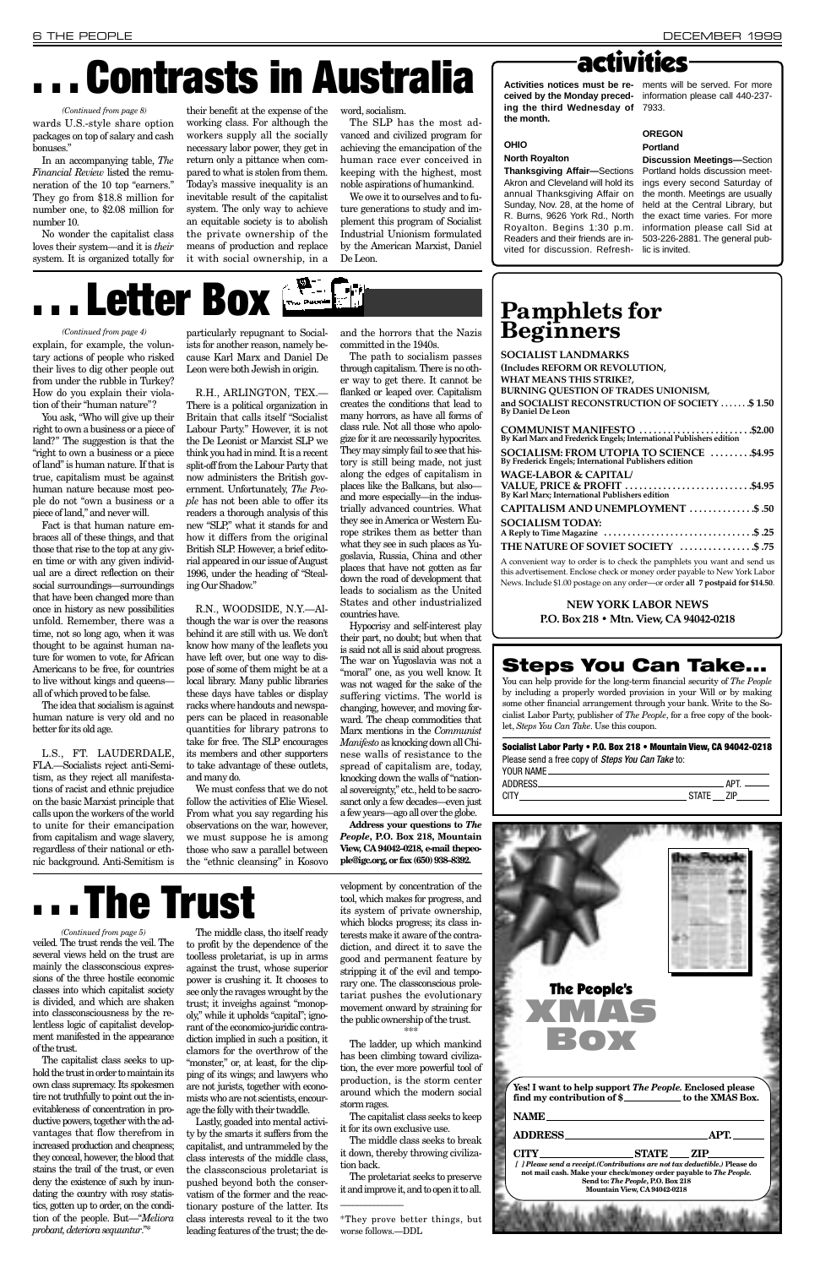In an accompanying table, *The Financial Review* listed the remuneration of the 10 top "earners." They go from \$18.8 million for number one, to \$2.08 million for number 10.

No wonder the capitalist class loves their system—and it is *their* system. It is organized totally for their benefit at the expense of the working class. For although the workers supply all the socially necessary labor power, they get in return only a pittance when compared to what is stolen from them. Today's massive inequality is an inevitable result of the capitalist system. The only way to achieve an equitable society is to abolish the private ownership of the means of production and replace it with social ownership, in a

word, socialism.

The SLP has the most advanced and civilized program for achieving the emancipation of the human race ever conceived in keeping with the highest, most noble aspirations of humankind.

We owe it to ourselves and to future generations to study and implement this program of Socialist Industrial Unionism formulated by the American Marxist, Daniel De Leon.

explain, for example, the voluntary actions of people who risked their lives to dig other people out from under the rubble in Turkey? How do you explain their violation of their "human nature"?

You ask, "Who will give up their right to own a business or a piece of land?" The suggestion is that the "right to own a business or a piece of land" is human nature. If that is true, capitalism must be against human nature because most people do not "own a business or a piece of land," and never will.

Fact is that human nature embraces all of these things, and that those that rise to the top at any given time or with any given individual are a direct reflection on their social surroundings—surroundings that have been changed more than once in history as new possibilities unfold. Remember, there was a time, not so long ago, when it was thought to be against human nature for women to vote, for African Americans to be free, for countries to live without kings and queens all of which proved to be false.

The idea that socialism is against human nature is very old and no better for its old age.

L.S., FT. LAUDERDALE, FLA.—Socialists reject anti-Semitism, as they reject all manifestations of racist and ethnic prejudice on the basic Marxist principle that calls upon the workers of the world to unite for their emancipation from capitalism and wage slavery, regardless of their national or ethnic background. Anti-Semitism is

particularly repugnant to Socialists for another reason, namely because Karl Marx and Daniel De Leon were both Jewish in origin.

R.H., ARLINGTON, TEX.— There is a political organization in Britain that calls itself "Socialist Labour Party." However, it is not the De Leonist or Marxist SLP we think you had in mind. It is a recent split-off from the Labour Party that now administers the British government. Unfortunately, *The People* has not been able to offer its readers a thorough analysis of this new "SLP," what it stands for and how it differs from the original British SLP. However, a brief editorial appeared in our issue of August 1996, under the heading of "Stealing Our Shadow."

R.N., WOODSIDE, N.Y.—Although the war is over the reasons behind it are still with us. We don't know how many of the leaflets you have left over, but one way to dispose of some of them might be at a local library. Many public libraries these days have tables or display racks where handouts and newspapers can be placed in reasonable quantities for library patrons to take for free. The SLP encourages its members and other supporters to take advantage of these outlets, and many do.

We must confess that we do not follow the activities of Elie Wiesel. From what you say regarding his observations on the war, however, we must suppose he is among those who saw a parallel between the "ethnic cleansing" in Kosovo

and the horrors that the Nazis committed in the 1940s.

wards U.S.-style share option packages on top of salary and cash bonuses." *(Continued from page 8)*

> The path to socialism passes through capitalism. There is no other way to get there. It cannot be flanked or leaped over. Capitalism creates the conditions that lead to many horrors, as have all forms of class rule. Not all those who apologize for it are necessarily hypocrites. They may simply fail to see that history is still being made, not just along the edges of capitalism in places like the Balkans, but also and more especially—in the industrially advanced countries. What they see in America or Western Europe strikes them as better than what they see in such places as Yugoslavia, Russia, China and other places that have not gotten as far down the road of development that leads to socialism as the United States and other industrialized countries have.

Hypocrisy and self-interest play their part, no doubt; but when that is said not all is said about progress. The war on Yugoslavia was not a "moral" one, as you well know. It was not waged for the sake of the suffering victims. The world is changing, however, and moving forward. The cheap commodities that Marx mentions in the *Communist Manifesto*as knocking down all Chinese walls of resistance to the spread of capitalism are, today, knocking down the walls of "national sovereignty," etc., held to be sacrosanct only a few decades—even just a few years—ago all over the globe.

> **Yes! I want to help support** *The People.* **Enclosed please find my contribution of \$**

**Address your questions to** *The People***, P.O. Box 218, Mountain View, CA 94042–0218, e-mail thepeople@igc.org, or fax (650) 938–8392.** 

> CITY\_\_\_\_\_\_\_\_\_\_\_\_\_\_\_\_\_\_\_\_\_\_STATE \_\_\_\_\_ ZIP\_ *[ ] Please send a receipt.(Contributions are not tax deductible.)* **Please do not mail cash. Make your check/money order payable to** *The People.* **Send to:** *The People***, P.O. Box 218 Mountain View, CA 94042-0218**

### The People's XMAS BOX

The capitalist class seeks to uphold the trust in order to maintain its own class supremacy. Its spokesmen tire not truthfully to point out the inevitableness of concentration in productive powers, together with the advantages that flow therefrom in increased production and cheapness; they conceal, however, the blood that stains the trail of the trust, or even deny the existence of such by inundating the country with rosy statistics, gotten up to order, on the condition of the people. But—"*Meliora probant, deteriora sequuntur*."\*

The middle class, tho itself ready to profit by the dependence of the toolless proletariat, is up in arms against the trust, whose superior power is crushing it. It chooses to see only the ravages wrought by the trust; it inveighs against "monopoly," while it upholds "capital"; ignorant of the economico-juridic contradiction implied in such a position, it clamors for the overthrow of the "monster," or, at least, for the clipping of its wings; and lawyers who are not jurists, together with economists who are not scientists, encourage the folly with their twaddle.

veiled. The trust rends the veil. The several views held on the trust are mainly the classconscious expressions of the three hostile economic classes into which capitalist society is divided, and which are shaken into classconsciousness by the relentless logic of capitalist development manifested in the appearance of the trust. *(Continued from page 5)*

> Lastly, goaded into mental activity by the smarts it suffers from the capitalist, and untrammeled by the class interests of the middle class, the classconscious proletariat is pushed beyond both the conservatism of the former and the reactionary posture of the latter. Its class interests reveal to it the two leading features of the trust; the de

velopment by concentration of the tool, which makes for progress, and its system of private ownership, which blocks progress; its class interests make it aware of the contradiction, and direct it to save the good and permanent feature by stripping it of the evil and temporary one. The classconscious proletariat pushes the evolutionary movement onward by straining for the public ownership of the trust. \*\*\*

The ladder, up which mankind has been climbing toward civilization, the ever more powerful tool of production, is the storm center around which the modern social storm rages.

The capitalist class seeks to keep it for its own exclusive use.

The middle class seeks to break it down, thereby throwing civilization back.

The proletariat seeks to preserve it and improve it, and to open it to all.

\_\_\_\_\_\_\_\_\_\_\_\_\_\_\_

\*They prove better things, but worse follows.—DDL

## **. . . Contrasts in Australia**

**. . . The Trust**

#### *(Continued from page 4)*

## **. . . Letter Box**



**ceived by the Monday preced-**information please call 440-237 **ing the third Wednesday of** 7933. **the month.**

**OHIO**

### **North Royalton**

### **Activities notices must be re-**ments will be served. For more

**Thanksgiving Affair—**Sections Akron and Cleveland will hold its annual Thanksgiving Affair on Sunday, Nov. 28, at the home of R. Burns, 9626 York Rd., North Royalton. Begins 1:30 p.m. Readers and their friends are invited for discussion. Refresh-lic is invited.

**OREGON**

**Portland Discussion Meetings—**Section Portland holds discussion meetings every second Saturday of the month. Meetings are usually held at the Central Library, but the exact time varies. For more information please call Sid at 503-226-2881. The general pub-

### **Pamphlets for Beginners**

| SOCIALIST LANDMARKS                                                                               |
|---------------------------------------------------------------------------------------------------|
| (Includes REFORM OR REVOLUTION,                                                                   |
| WHAT MEANS THIS STRIKE?,                                                                          |
| <b>BURNING QUESTION OF TRADES UNIONISM,</b>                                                       |
| and SOCIALIST RECONSTRUCTION OF SOCIETY \$ 1.50<br><b>By Daniel De Leon</b>                       |
| COMMUNIST MANIFESTO \$2.00<br>By Karl Marx and Frederick Engels; International Publishers edition |
| SOCIALISM: FROM UTOPIA TO SCIENCE \$4.95<br>By Frederick Engels; International Publishers edition |
| <b>WAGE-LABOR &amp; CAPITAL/</b>                                                                  |
| VALUE, PRICE & PROFIT \$4.95<br>By Karl Marx; International Publishers edition                    |
| CAPITALISM AND UNEMPLOYMENT \$.50                                                                 |
| SOCIALISM TODAY:                                                                                  |
| A Reply to Time Magazine $\dots\dots\dots\dots\dots\dots\dots\dots\dots\dots\dots$ \$ .25         |
| THE NATURE OF SOVIET SOCIETY \$.75                                                                |
| A convenient way to order is to check the pamphlets you want and send us                          |

this advertisement. Enclose check or money order payable to New York Labor News. Include \$1.00 postage on any order—or order **all 7 postpaid for \$14.50**.

> **NEW YORK LABOR NEWS P.O. Box 218 • Mtn. View, CA 94042-0218**

### **Steps You Can Take...**

You can help provide for the long-term financial security of *The People* by including a properly worded provision in your Will or by making some other financial arrangement through your bank. Write to the Socialist Labor Party, publisher of *The People*, for a free copy of the booklet, *Steps You Can Take*. Use this coupon.

|                                                   | Socialist Labor Party • P.O. Box 218 • Mountain View, CA 94042-0218 |
|---------------------------------------------------|---------------------------------------------------------------------|
| Please send a free copy of Steps You Can Take to: |                                                                     |
|                                                   |                                                                     |
|                                                   |                                                                     |
|                                                   | state __ zip_______                                                 |
|                                                   |                                                                     |



**NAME**

**ADDRESS APT.**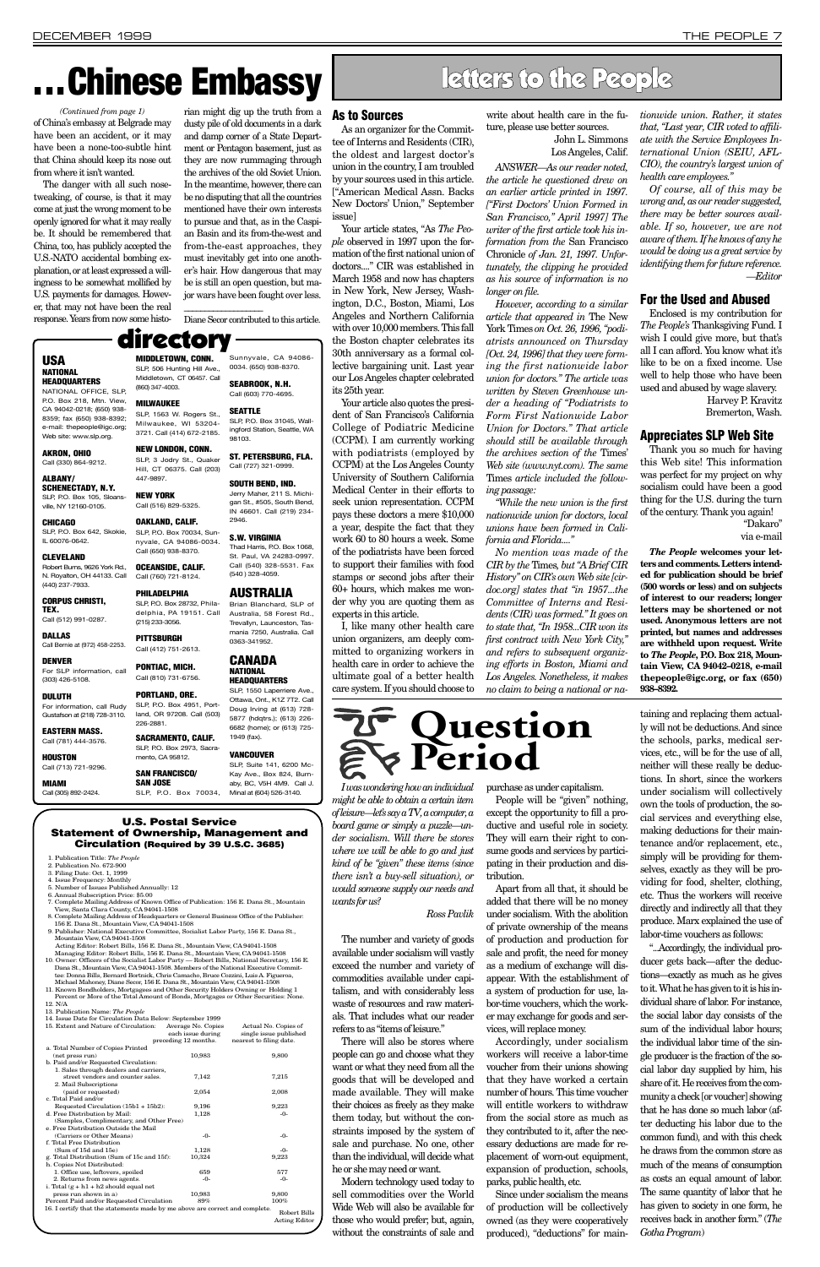The danger with all such nosetweaking, of course, is that it may come at just the wrong moment to be openly ignored for what it may really be. It should be remembered that China, too, has publicly accepted the U.S.-NATO accidental bombing explanation, or at least expressed a willingness to be somewhat mollified by U.S. payments for damages. However, that may not have been the real response. Years from now some historian might dig up the truth from a dusty pile of old documents in a dark and damp corner of a State Department or Pentagon basement, just as they are now rummaging through the archives of the old Soviet Union. In the meantime, however, there can be no disputing that all the countries mentioned have their own interests to pursue and that, as in the Caspian Basin and its from-the-west and from-the-east approaches, they must inevitably get into one another's hair. How dangerous that may be is still an open question, but major wars have been fought over less.

\_\_\_\_\_\_\_\_\_\_\_\_\_\_\_\_\_\_\_

Diane Secor contributed to this article.

*I was wondering how an individual might be able to obtain a certain item of leisure—let's say a TV, a computer, a board game or simply a puzzle—under socialism. Will there be stores where we will be able to go and just kind of be "given" these items (since there isn't a buy-sell situation), or would someone supply our needs and wants for us?* 

The number and variety of goods available under socialism will vastly exceed the number and variety of commodities available under capitalism, and with considerably less waste of resources and raw materials. That includes what our reader refers to as "items of leisure." There will also be stores where people can go and choose what they want or what they need from all the

goods that will be developed and made available. They will make their choices as freely as they make them today, but without the constraints imposed by the system of sale and purchase. No one, other than the individual, will decide what

he or she may need or want.

Modern technology used today to sell commodities over the World Wide Web will also be available for those who would prefer; but, again, without the constraints of sale and purchase as under capitalism.

People will be "given" nothing, except the opportunity to fill a productive and useful role in society. They will earn their right to consume goods and services by participating in their production and distribution.

Apart from all that, it should be added that there will be no money under socialism. With the abolition of private ownership of the means

of production and production for sale and profit, the need for money as a medium of exchange will disappear. With the establishment of a system of production for use, labor-time vouchers, which the worker may exchange for goods and services, will replace money.

Accordingly, under socialism workers will receive a labor-time voucher from their unions showing that they have worked a certain number of hours. This time voucher will entitle workers to withdraw from the social store as much as they contributed to it, after the necessary deductions are made for replacement of worn-out equipment, expansion of production, schools, parks, public health, etc.

Since under socialism the means of production will be collectively owned (as they were cooperatively produced), "deductions" for main-

taining and replacing them actually will not be deductions. And since the schools, parks, medical services, etc., will be for the use of all, neither will these really be deductions. In short, since the workers under socialism will collectively own the tools of production, the social services and everything else, making deductions for their maintenance and/or replacement, etc., simply will be providing for themselves, exactly as they will be providing for food, shelter, clothing, etc. Thus the workers will receive directly and indirectly all that they produce. Marx explained the use of

labor-time vouchers as follows:

"...Accordingly, the individual producer gets back—after the deductions—exactly as much as he gives to it. What he has given to it is his individual share of labor. For instance, the social labor day consists of the sum of the individual labor hours; the individual labor time of the single producer is the fraction of the social labor day supplied by him, his share of it. He receives from the community a check [or voucher] showing that he has done so much labor (after deducting his labor due to the common fund), and with this check he draws from the common store as much of the means of consumption as costs an equal amount of labor. The same quantity of labor that he has given to society in one form, he receives back in another form." (*The Gotha Program*)

**As to Sources**

As an organizer for the Committee of Interns and Residents (CIR), the oldest and largest doctor's union in the country, I am troubled by your sources used in this article. ["American Medical Assn. Backs New Doctors' Union," September

issue]

Your article states, "As *The People* observed in 1997 upon the formation of the first national union of doctors...." CIR was established in March 1958 and now has chapters in New York, New Jersey, Washington, D.C., Boston, Miami, Los Angeles and Northern California with over 10,000 members. This fall the Boston chapter celebrates its 30th anniversary as a formal collective bargaining unit. Last year our Los Angeles chapter celebrated

its 25th year.

Your article also quotes the president of San Francisco's California College of Podiatric Medicine (CCPM). I am currently working with podiatrists (employed by CCPM) at the Los Angeles County University of Southern California Medical Center in their efforts to seek union representation. CCPM pays these doctors a mere \$10,000 a year, despite the fact that they work 60 to 80 hours a week. Some of the podiatrists have been forced to support their families with food stamps or second jobs after their 60+ hours, which makes me wonder why you are quoting them as

experts in this article.

I, like many other health care union organizers, am deeply committed to organizing workers in health care in order to achieve the ultimate goal of a better health write about health care in the future, please use better sources.

John L. Simmons Los Angeles, Calif.

*ANSWER—As our reader noted, the article he questioned drew on an earlier article printed in 1997. ["First Doctors' Union Formed in San Francisco," April 1997] The writer of the first article took his information from the* San Francisco Chronicle *of Jan. 21, 1997. Unfortunately, the clipping he provided as his source of information is no longer on file.*

### of China's embassy at Belgrade may have been an accident, or it may have been a none-too-subtle hint that China should keep its nose out from where it isn't wanted. *(Continued from page 1)*

*However, according to a similar article that appeared in* The New York Times *on Oct. 26, 1996, "podiatrists announced on Thursday [Oct. 24, 1996] that they were forming the first nationwide labor union for doctors." The article was written by Steven Greenhouse under a heading of "Podiatrists to Form First Nationwide Labor Union for Doctors." That article should still be available through the archives section of the* Times' *Web site (www.nyt.com). The same* Times *article included the following passage:*

*"While the new union is the first nationwide union for doctors, local unions have been formed in California and Florida...."*

*No mention was made of the CIR by the* Times*, but "A Brief CIR History" on CIR's own Web site [cirdoc.org] states that "in 1957...the Committee of Interns and Residents (CIR) was formed." It goes on to state that, "In 1958...CIR won its first contract with New York City," and refers to subsequent organizing efforts in Boston, Miami and Los Angeles. Nonetheless, it makes no claim to being a national or na-* *tionwide union. Rather, it states that, "Last year, CIR voted to affiliate with the Service Employees International Union (SEIU, AFL-CIO), the country's largest union of health care employees."*

*Of course, all of this may be wrong and, as our reader suggested, there may be better sources available. If so, however, we are not aware of them. If he knows of any he would be doing us a great service by identifying them for future reference. —Editor*

### **For the Used and Abused**

Enclosed is my contribution for *The People's* Thanksgiving Fund. I wish I could give more, but that's all I can afford. You know what it's like to be on a fixed income. Use well to help those who have been used and abused by wage slavery.

> Harvey P. Kravitz Bremerton, Wash.

### **Appreciates SLP Web Site**

Thank you so much for having this Web site! This information was perfect for my project on why socialism could have been a good thing for the U.S. during the turn of the century. Thank you again!

> "Dakaro" via e-mail

*The People* **welcomes your letters and comments. Letters intended for publication should be brief (500 words or less) and on subjects of interest to our readers; longer letters may be shortened or not used. Anonymous letters are not printed, but names and addresses are withheld upon request. Write to** *The People***, P.O. Box 218, Mountain View, CA 94042–0218, e-mail thepeople@igc.org, or fax (650) 938–8392.**

### letters to the People

#### **U.S. Postal Service Statement of Ownership, Management and Circulation (Required by 39 U.S.C. 3685)**

- 1. Publication Title: *The People*
- 2. Publication No. 672-900 3. Filing Date: Oct. 1, 1999
- 
- 4. Issue Frequency: Monthly 5. Number of Issues Published Annually: 12
- 6. Annual Subscription Price: \$5.00
- 7. Complete Mailing Address of Known Office of Publication: 156 E. Dana St., Mountain View, Santa Clara County, CA 94041-1508 8. Complete Mailing Address of Headquarters or General Business Office of the Publisher:
- 156 E. Dana St., Mountain View, CA 94041-1508

## care system. If you should choose to **Question**

| Mountain View, CA 94041-1508                                                        | 9. Publisher: National Executive Committee, Socialist Labor Party, 156 E. Dana St.,         |                         |  |  |  |
|-------------------------------------------------------------------------------------|---------------------------------------------------------------------------------------------|-------------------------|--|--|--|
| Acting Editor: Robert Bills, 156 E. Dana St., Mountain View, CA 94041-1508          |                                                                                             |                         |  |  |  |
| Managing Editor: Robert Bills, 156 E. Dana St., Mountain View, CA 94041-1508        |                                                                                             |                         |  |  |  |
|                                                                                     | 10. Owner: Officers of the Socialist Labor Party — Robert Bills, National Secretary, 156 E. |                         |  |  |  |
| Dana St., Mountain View, CA 94041-1508. Members of the National Executive Commit-   |                                                                                             |                         |  |  |  |
| tee: Donna Bills, Bernard Bortnick, Chris Camacho, Bruce Cozzini, Luis A. Figueroa, |                                                                                             |                         |  |  |  |
| Michael Mahoney, Diane Secor, 156 E. Dana St., Mountain View, CA 94041-1508         |                                                                                             |                         |  |  |  |
|                                                                                     | 11. Known Bondholders, Mortgagees and Other Security Holders Owning or Holding 1            |                         |  |  |  |
| Percent or More of the Total Amount of Bonds, Mortgages or Other Securities: None.  |                                                                                             |                         |  |  |  |
| 12. N/A                                                                             |                                                                                             |                         |  |  |  |
| 13. Publication Name: The People                                                    |                                                                                             |                         |  |  |  |
| 14. Issue Date for Circulation Data Below: September 1999                           |                                                                                             |                         |  |  |  |
| 15. Extent and Nature of Circulation:                                               | Average No. Copies                                                                          | Actual No. Copies of    |  |  |  |
|                                                                                     | each issue during                                                                           | single issue published  |  |  |  |
|                                                                                     | preceding 12 months.                                                                        | nearest to filing date. |  |  |  |
| a. Total Number of Copies Printed                                                   |                                                                                             |                         |  |  |  |
| (net press run)                                                                     | 10,983                                                                                      | 9,800                   |  |  |  |
| b. Paid and/or Requested Circulation:                                               |                                                                                             |                         |  |  |  |
| 1. Sales through dealers and carriers,                                              |                                                                                             |                         |  |  |  |
| street vendors and counter sales.                                                   | 7,142                                                                                       | 7,215                   |  |  |  |
| 2. Mail Subscriptions                                                               |                                                                                             |                         |  |  |  |
| (paid or requested)                                                                 | 2,054                                                                                       | 2,008                   |  |  |  |
| c. Total Paid and/or                                                                |                                                                                             |                         |  |  |  |
| Requested Circulation (15b1 + 15b2):                                                | 9,196                                                                                       | 9,223                   |  |  |  |
| d. Free Distribution by Mail:                                                       | 1,128                                                                                       | $-0-$                   |  |  |  |
| (Samples, Complimentary, and Other Free)                                            |                                                                                             |                         |  |  |  |
| e. Free Distribution Outside the Mail                                               |                                                                                             |                         |  |  |  |
| (Carriers or Other Means)                                                           | -0-                                                                                         | $-0-$                   |  |  |  |
| f. Total Free Distribution                                                          |                                                                                             |                         |  |  |  |
| (Sum of 15d and 15e)                                                                | 1,128                                                                                       | -0-                     |  |  |  |
| g. Total Distribution (Sum of 15c and 15f):<br>h. Copies Not Distributed:           | 10,324                                                                                      | 9,223                   |  |  |  |
| 1. Office use, leftovers, spoiled                                                   | 659                                                                                         | 577                     |  |  |  |
| 2. Returns from news agents.                                                        | -0-                                                                                         | $-0-$                   |  |  |  |
| i. Total $(g + h1 + h2)$ should equal net                                           |                                                                                             |                         |  |  |  |
| press run shown in a)                                                               | 10,983                                                                                      | 9,800                   |  |  |  |
| Percent Paid and/or Requested Circulation                                           | 89%                                                                                         | 100%                    |  |  |  |
| 16. I certify that the statements made by me above are correct and complete.        |                                                                                             |                         |  |  |  |
|                                                                                     |                                                                                             | <b>Robert Bills</b>     |  |  |  |
|                                                                                     |                                                                                             | <b>Acting Editor</b>    |  |  |  |
|                                                                                     |                                                                                             |                         |  |  |  |

### **USA NATIONAL HEADQUARTERS**

NATIONAL OFFICE, SLP, P.O. Box 218, Mtn. View, CA 94042-0218; (650) 938- 8359; fax (650) 938-8392; e-mail: thepeople@igc.org; Web site: www.slp.org.

**AKRON, OHIO** Call (330) 864-9212.

#### **ALBANY/ SCHENECTADY, N.Y.**

SLP, P.O. Box 105, Sloansville, NY 12160-0105.

**CHICAGO** SLP, P.O. Box 642, Skokie, IL 60076-0642.

#### **CLEVELAND** Robert Burns, 9626 York Rd., N. Royalton, OH 44133. Call

(440) 237-7933. **CORPUS CHRISTI, TEX.**

Call (512) 991-0287.

**DALLAS** Call Bernie at (972) 458-2253.

#### **DENVER** For SLP information, call (303) 426-5108.

**DULUTH** For information, call Rudy Gustafson at (218) 728-3110.

**EASTERN MASS.** Call (781) 444-3576.

**HOUSTON** Call (713) 721-9296.

**MIAMI**

Call (305) 892-2424.

(860) 347-4003. **MILWAUKEE**

SLP, 1563 W. Rogers St.,

#### Milwaukee, WI 53204- 3721. Call (414) 672-2185.

447-9897. **NEW YORK** Call (516) 829-5325. **OAKLAND, CALIF.**

(215) 233-3056.

### **PITTSBURGH** Call (412) 751-2613. **PONTIAC, MICH.** Call (810) 731-6756.

**NEW LONDON, CONN.** SLP, 3 Jodry St., Quaker 98103. **ST. PETERSBURG, FLA.**

#### Hill, CT 06375. Call (203) Call (727) 321-0999. **SOUTH BEND, IND.**

**PORTLAND, ORE.** SLP, P.O. Box 4951, Portland, OR 97208. Call (503) 226-2881.

#### SLP, P.O. Box 70034, Sunnyvale, CA 94086-0034. **S.W. VIRGINIA**

**SAN JOSE**

Call (650) 938-8370. **OCEANSIDE, CALIF.** Call (760) 721-8124. Thad Harris, P.O. Box 1068, St. Paul, VA 24283-0997. Call (540) 328-5531. Fax (540 ) 328-4059.

Sunnyvale, CA 94086- 0034. (650) 938-8370. **SEABROOK, N.H.** Call (603) 770-4695.

#### **PHILADELPHIA** SLP, P.O. Box 28732, Phila-**AUSTRALIA**

### **MIDDLETOWN, CONN.** SLP, 506 Hunting Hill Ave., Middletown, CT 06457. Call directory

**SEATTLE**

SLP, P.O. Box 31045, Wallingford Station, Seattle, WA

delphia, PA 19151. Call Brian Blanchard, SLP of Australia, 58 Forest Rd., Trevallyn, Launceston, Tasmania 7250, Australia. Call 0363-341952.

Jerry Maher, 211 S. Michigan St., #505, South Bend, IN 46601. Call (219) 234- 2946.

**SACRAMENTO, CALIF.** SLP, P.O. Box 2973, Sacra mento, CA 95812. 1949 (fax).

### **SAN FRANCISCO/ VANCOUVER**

SLP, P.O. Box 70034, Kay Ave., Box 824, Burnaby, BC, V5H 4M9. Call J.

### **CANADA NATIONAL**

**HEADQUARTERS** SLP, 1550 Laperriere Ave., Ottawa, Ont., K1Z 7T2. Call Doug Irving at (613) 728-

5877 (hdqtrs.); (613) 226- 6682 (home); or (613) 725-

### SLP, Suite 141, 6200 Mc-

Minal at (604) 526-3140.



## **. . . Chinese Embassy**